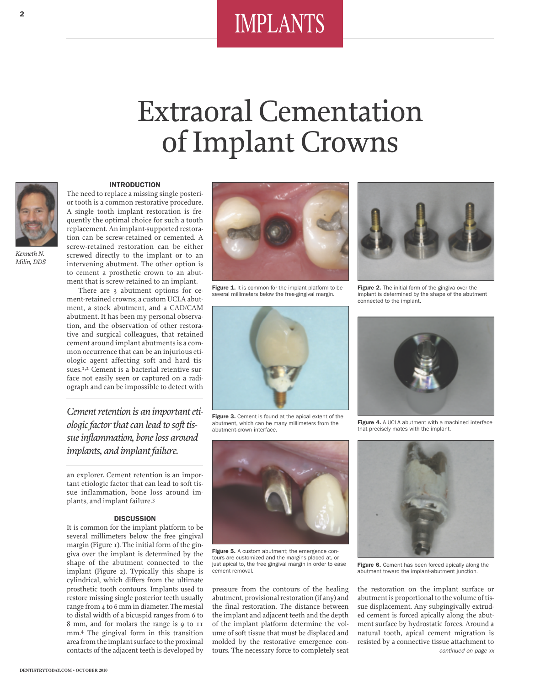# IMPLANTS

# Extraoral Cementation of Implant Crowns



*Kenneth N. Milin, DDS*

### **INTRODUCTION**

The need to replace a missing single posterior tooth is a common restorative procedure. A single tooth implant restoration is frequently the optimal choice for such a tooth replacement. An implant-supported restoration can be screw-retained or cemented. A screw-retained restoration can be either screwed directly to the implant or to an intervening abutment. The other option is to cement a prosthetic crown to an abutment that is screw-retained to an implant.

There are 3 abutment options for cement-retained crowns; a custom UCLA abutment, a stock abutment, and a CAD/CAM abutment. It has been my personal observation, and the observation of other restorative and surgical colleagues, that retained cement around implant abutments is a common occurrence that can be an injurious etiologic agent affecting soft and hard tissues.<sup>1,2</sup> Cement is a bacterial retentive surface not easily seen or captured on a radiograph and can be impossible to detect with

*Cement retention is an important etiologic factor that can lead to soft tissue inflammation, bone loss around implants, and implant failure.*

an explorer. Cement retention is an important etiologic factor that can lead to soft tissue inflammation, bone loss around implants, and implant failure.3

## **DISCUSSION**

It is common for the implant platform to be several millimeters below the free gingival margin (Figure 1). The initial form of the gingiva over the implant is determined by the shape of the abutment connected to the implant (Figure 2). Typically this shape is cylindrical, which differs from the ultimate prosthetic tooth contours. Implants used to restore missing single posterior teeth usually range from 4 to 6 mm in diameter. The mesial to distal width of a bicuspid ranges from 6 to 8 mm, and for molars the range is 9 to 11 mm.4 The gingival form in this transition area from the implant surface to the proximal contacts of the adjacent teeth is developed by



Figure 1. It is common for the implant platform to be several millimeters below the free-gingival margin.



**Figure 3.** Cement is found at the apical extent of the abutment, which can be many millimeters from the abutment-crown interface.



**Figure 5.** A custom abutment; the emergence contours are customized and the margins placed at, or just apical to, the free gingival margin in order to ease cement removal.

pressure from the contours of the healing abutment, provisional restoration (if any) and the final restoration. The distance between the implant and adjacent teeth and the depth of the implant platform determine the volume of soft tissue that must be displaced and molded by the restorative emergence contours. The necessary force to completely seat



**Figure 2.** The initial form of the gingiva over the implant is determined by the shape of the abutment connected to the implant.



**Figure 4.** A UCLA abutment with a machined interface that precisely mates with the implant.



**Figure 6.** Cement has been forced apically along the abutment toward the implant-abutment junction.

the restoration on the implant surface or abutment is proportional to the volume of tissue displacement. Any subgingivally extruded cement is forced apically along the abutment surface by hydrostatic forces. Around a natural tooth, apical cement migration is resisted by a connective tissue attachment to *continued on page xx*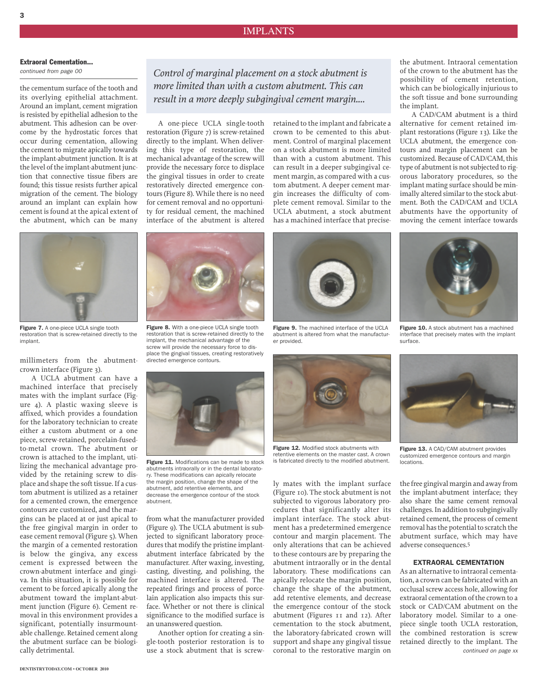# **Extraoral Cementation...**

*continued from page 00*

the cementum surface of the tooth and its overlying epithelial attachment. Around an implant, cement migration is resisted by epithelial adhesion to the abutment. This adhesion can be overcome by the hydrostatic forces that occur during cementation, allowing the cement to migrate apically towards the implant-abutment junction. It is at the level of the implant-abutment junction that connective tissue fibers are found; this tissue resists further apical migration of the cement. The biology around an implant can explain how cement is found at the apical extent of the abutment, which can be many



**Figure 7.** A one-piece UCLA single tooth restoration that is screw-retained directly to the implant.

millimeters from the abutmentcrown interface (Figure 3).

A UCLA abutment can have a machined interface that precisely mates with the implant surface (Figure 4). A plastic waxing sleeve is affixed, which provides a foundation for the laboratory technician to create either a custom abutment or a one piece, screw-retained, porcelain-fusedto-metal crown. The abutment or crown is attached to the implant, utilizing the mechanical advantage provided by the retaining screw to displace and shape the soft tissue. If a custom abutment is utilized as a retainer for a cemented crown, the emergence contours are customized, and the margins can be placed at or just apical to the free gingival margin in order to ease cement removal (Figure 5). When the margin of a cemented restoration is below the gingiva, any excess cement is expressed between the crown-abutment interface and gingiva. In this situation, it is possible for cement to be forced apically along the abutment toward the implant-abutment junction (Figure 6). Cement removal in this environment provides a significant, potentially insurmountable challenge. Retained cement along the abutment surface can be biologically detrimental.

*Control of marginal placement on a stock abutment is more limited than with a custom abutment. This can result in a more deeply subgingival cement margin....*

A one-piece UCLA single-tooth restoration (Figure 7) is screw-retained directly to the implant. When delivering this type of restoration, the mechanical advantage of the screw will provide the necessary force to displace the gingival tissues in order to create restoratively directed emergence contours (Figure 8). While there is no need for cement removal and no opportunity for residual cement, the machined interface of the abutment is altered

from what the manufacturer provided (Figure 9). The UCLA abutment is subjected to significant laboratory procedures that modify the pristine implantabutment interface fabricated by the manufacturer. After waxing, investing, casting, divesting, and polishing, the machined interface is altered. The repeated firings and process of porcelain application also impacts this surface. Whether or not there is clinical significance to the modified surface is

abutment.

**Figure 11.** Modifications can be made to stock abutments intraorally or in the dental laboratory. These modifications can apically relocate the margin position, change the shape of the abutment, add retentive elements, and decrease the emergence contour of the stock

**Figure 8.** With a one-piece UCLA single tooth restoration that is screw-retained directly to the implant, the mechanical advantage of the screw will provide the necessary force to displace the gingival tissues, creating restoratively

directed emergence contours.

an unanswered question.

Another option for creating a single-tooth posterior restoration is to use a stock abutment that is screwretained to the implant and fabricate a crown to be cemented to this abutment. Control of marginal placement on a stock abutment is more limited than with a custom abutment. This can result in a deeper subgingival cement margin, as compared with a custom abutment. A deeper cement margin increases the difficulty of complete cement removal. Similar to the UCLA abutment, a stock abutment has a machined interface that precise-



**Figure 9.** The machined interface of the UCLA abutment is altered from what the manufacturer provided.



**Figure 12.** Modified stock abutments with retentive elements on the master cast. A crown is fabricated directly to the modified abutment.

ly mates with the implant surface (Figure 10). The stock abutment is not subjected to vigorous laboratory procedures that significantly alter its implant interface. The stock abutment has a predetermined emergence contour and margin placement. The only alterations that can be achieved to these contours are by preparing the abutment intraorally or in the dental laboratory. These modifications can apically relocate the margin position, change the shape of the abutment, add retentive elements, and decrease the emergence contour of the stock abutment (Figures 11 and 12). After cementation to the stock abutment, the laboratory-fabricated crown will support and shape any gingival tissue coronal to the restorative margin on

the abutment. Intraoral cementation of the crown to the abutment has the possibility of cement retention, which can be biologically injurious to the soft tissue and bone surrounding the implant.

A CAD/CAM abutment is a third alternative for cement retained implant restorations (Figure 13). Like the UCLA abutment, the emergence contours and margin placement can be customized. Because of CAD/CAM, this type of abutment is not subjected to rigorous laboratory procedures, so the implant mating surface should be minimally altered similar to the stock abutment. Both the CAD/CAM and UCLA abutments have the opportunity of moving the cement interface towards



**Figure 10.** A stock abutment has a machined interface that precisely mates with the implant surface.



**Figure 13.** A CAD/CAM abutment provides customized emergence contours and margin locations.

the free gingival margin and away from the implant-abutment interface; they also share the same cement removal challenges. In addition to subgingivally retained cement, the process of cement removal has the potential to scratch the abutment surface, which may have adverse consequences.5

#### **EXTRAORAL CEMENTATION**

As an alternative to intraoral cementation, a crown can be fabricated with an occlusal screw access hole, allowing for extraoral cementation of the crown to a stock or CAD/CAM abutment on the laboratory model. Similar to a onepiece single tooth UCLA restoration, the combined restoration is screw retained directly to the implant. The *continued on page xx*